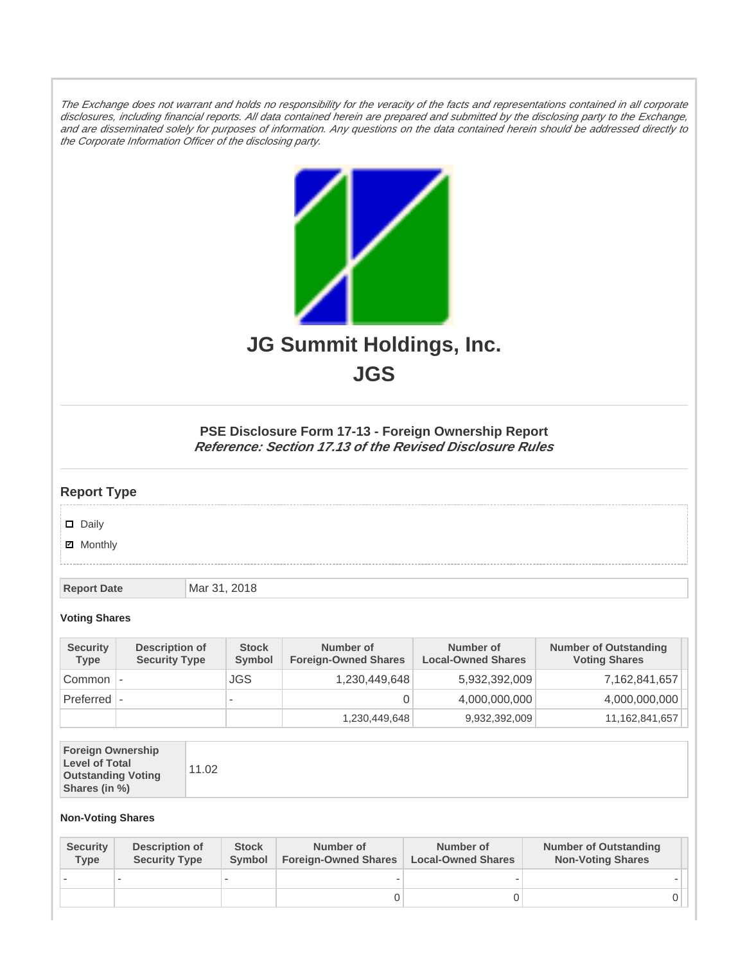The Exchange does not warrant and holds no responsibility for the veracity of the facts and representations contained in all corporate disclosures, including financial reports. All data contained herein are prepared and submitted by the disclosing party to the Exchange, and are disseminated solely for purposes of information. Any questions on the data contained herein should be addressed directly to the Corporate Information Officer of the disclosing party.



**JGS**

## **PSE Disclosure Form 17-13 - Foreign Ownership Report Reference: Section 17.13 of the Revised Disclosure Rules**

## **Report Type**

Daily

**Ø** Monthly

**Report Date Mar 31, 2018** 

## **Voting Shares**

| <b>Security</b><br><b>Type</b> | Description of<br><b>Security Type</b> | <b>Stock</b><br><b>Symbol</b> | Number of<br><b>Foreign-Owned Shares</b> | Number of<br><b>Local-Owned Shares</b> | <b>Number of Outstanding</b><br><b>Voting Shares</b> |
|--------------------------------|----------------------------------------|-------------------------------|------------------------------------------|----------------------------------------|------------------------------------------------------|
| Common                         |                                        | JGS.                          | 1,230,449,648                            | 5,932,392,009                          | 7,162,841,657                                        |
| Preferred                      |                                        | $\overline{\phantom{a}}$      |                                          | 4,000,000,000                          | 4,000,000,000                                        |
|                                |                                        |                               | 1,230,449,648                            | 9,932,392,009                          | 11,162,841,657                                       |

| <b>Foreign Ownership</b><br><b>Level of Total</b><br><b>Outstanding Voting</b><br>Shares (in %) | 11.02 |
|-------------------------------------------------------------------------------------------------|-------|
|-------------------------------------------------------------------------------------------------|-------|

## **Non-Voting Shares**

| <b>Security</b><br><b>Type</b> | <b>Description of</b><br><b>Security Type</b> | <b>Stock</b><br>Symbol | Number of<br><b>Foreign-Owned Shares</b> | Number of<br><b>Local-Owned Shares</b> | <b>Number of Outstanding</b><br><b>Non-Voting Shares</b> |
|--------------------------------|-----------------------------------------------|------------------------|------------------------------------------|----------------------------------------|----------------------------------------------------------|
|                                |                                               |                        |                                          |                                        |                                                          |
|                                |                                               |                        |                                          |                                        |                                                          |